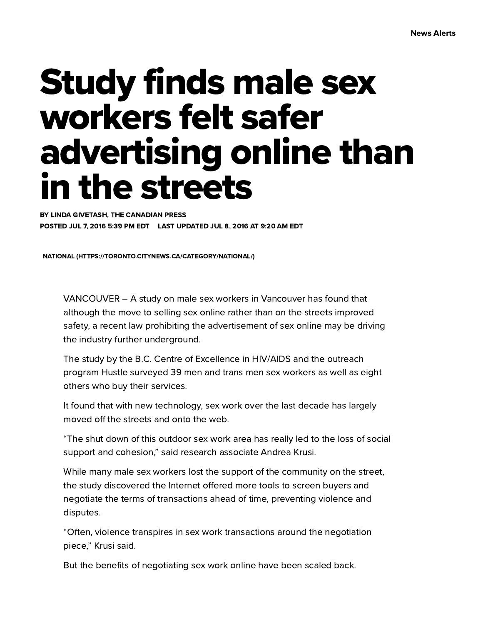## Study finds male sex workers felt safer advertising online than in the streets

BY LINDA GIVETASH, THE CANADIAN PRESS POSTED JUL 7, 2016 5:39 PM EDT LAST UPDATED JUL 8, 2016 AT 9:20 AM EDT

NATIONAL [\(HTTPS://TORONTO.CITYNEWS.CA/CATEGORY/NATIONAL/\)](https://toronto.citynews.ca/category/national/)

VANCOUVER – A study on male sex workers in Vancouver has found that although the move to selling sex online rather than on the streets improved safety, a recent law prohibiting the advertisement of sex online may be driving the industry further underground.

The study by the B.C. Centre of Excellence in HIV/AIDS and the outreach program Hustle surveyed 39 men and trans men sex workers as well as eight others who buy their services.

It found that with new technology, sex work over the last decade has largely moved off the streets and onto the web.

"The shut down of this outdoor sex work area has really led to the loss of social support and cohesion," said research associate Andrea Krusi.

While many male sex workers lost the support of the community on the street, the study discovered the Internet offered more tools to screen buyers and negotiate the terms of transactions ahead of time, preventing violence and disputes.

"Often, violence transpires in sex work transactions around the negotiation piece," Krusi said.

But the benefits of negotiating sex work online have been scaled back.